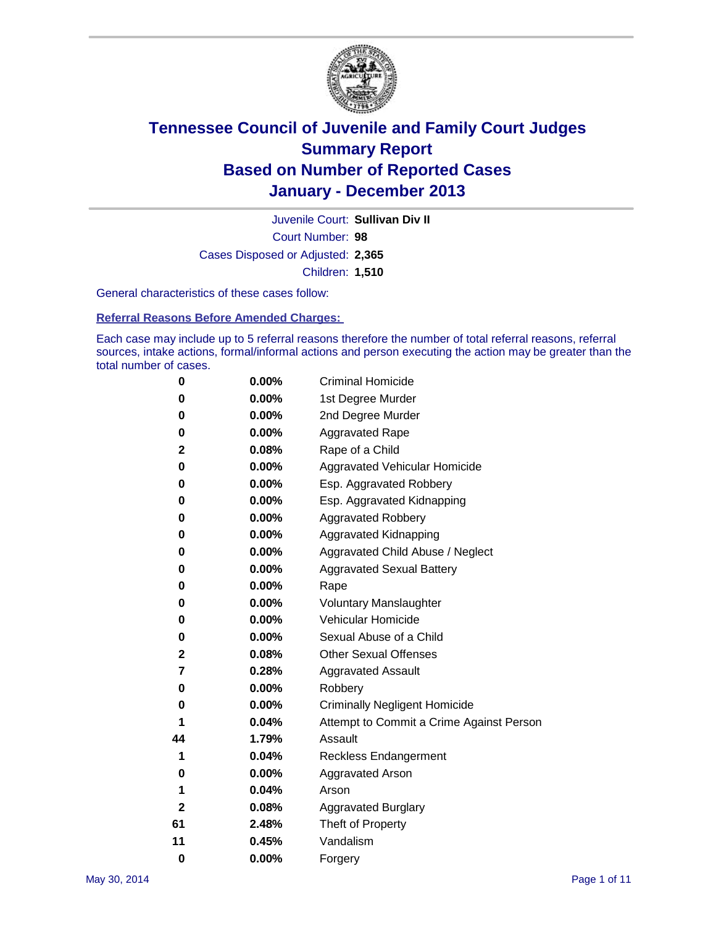

Court Number: **98** Juvenile Court: **Sullivan Div II** Cases Disposed or Adjusted: **2,365** Children: **1,510**

General characteristics of these cases follow:

**Referral Reasons Before Amended Charges:** 

Each case may include up to 5 referral reasons therefore the number of total referral reasons, referral sources, intake actions, formal/informal actions and person executing the action may be greater than the total number of cases.

| 0            | $0.00\%$ | <b>Criminal Homicide</b>                 |
|--------------|----------|------------------------------------------|
| 0            | 0.00%    | 1st Degree Murder                        |
| 0            | 0.00%    | 2nd Degree Murder                        |
| 0            | $0.00\%$ | <b>Aggravated Rape</b>                   |
| 2            | 0.08%    | Rape of a Child                          |
| 0            | 0.00%    | <b>Aggravated Vehicular Homicide</b>     |
| 0            | $0.00\%$ | Esp. Aggravated Robbery                  |
| 0            | 0.00%    | Esp. Aggravated Kidnapping               |
| 0            | 0.00%    | <b>Aggravated Robbery</b>                |
| 0            | $0.00\%$ | Aggravated Kidnapping                    |
| 0            | 0.00%    | Aggravated Child Abuse / Neglect         |
| 0            | 0.00%    | <b>Aggravated Sexual Battery</b>         |
| 0            | $0.00\%$ | Rape                                     |
| 0            | 0.00%    | <b>Voluntary Manslaughter</b>            |
| 0            | 0.00%    | Vehicular Homicide                       |
| 0            | $0.00\%$ | Sexual Abuse of a Child                  |
| 2            | 0.08%    | <b>Other Sexual Offenses</b>             |
| 7            | 0.28%    | <b>Aggravated Assault</b>                |
| 0            | 0.00%    | Robbery                                  |
| 0            | 0.00%    | <b>Criminally Negligent Homicide</b>     |
| 1            | 0.04%    | Attempt to Commit a Crime Against Person |
| 44           | 1.79%    | Assault                                  |
| 1            | 0.04%    | <b>Reckless Endangerment</b>             |
| 0            | 0.00%    | <b>Aggravated Arson</b>                  |
| 1            | 0.04%    | Arson                                    |
| $\mathbf{2}$ | 0.08%    | <b>Aggravated Burglary</b>               |
| 61           | 2.48%    | Theft of Property                        |
| 11           | 0.45%    | Vandalism                                |
| $\bf{0}$     | 0.00%    | Forgery                                  |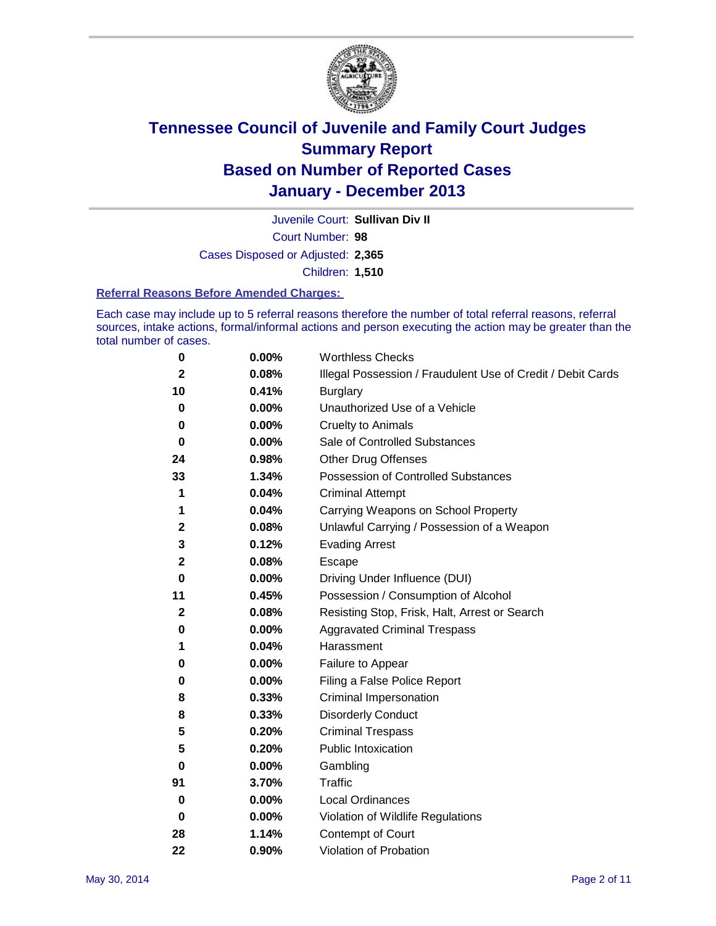

Court Number: **98** Juvenile Court: **Sullivan Div II** Cases Disposed or Adjusted: **2,365** Children: **1,510**

#### **Referral Reasons Before Amended Charges:**

Each case may include up to 5 referral reasons therefore the number of total referral reasons, referral sources, intake actions, formal/informal actions and person executing the action may be greater than the total number of cases.

| 0            | 0.00% | <b>Worthless Checks</b>                                     |
|--------------|-------|-------------------------------------------------------------|
| $\mathbf{2}$ | 0.08% | Illegal Possession / Fraudulent Use of Credit / Debit Cards |
| 10           | 0.41% | <b>Burglary</b>                                             |
| 0            | 0.00% | Unauthorized Use of a Vehicle                               |
| 0            | 0.00% | <b>Cruelty to Animals</b>                                   |
| 0            | 0.00% | Sale of Controlled Substances                               |
| 24           | 0.98% | <b>Other Drug Offenses</b>                                  |
| 33           | 1.34% | Possession of Controlled Substances                         |
| 1            | 0.04% | <b>Criminal Attempt</b>                                     |
| 1            | 0.04% | Carrying Weapons on School Property                         |
| $\mathbf{2}$ | 0.08% | Unlawful Carrying / Possession of a Weapon                  |
| 3            | 0.12% | <b>Evading Arrest</b>                                       |
| $\mathbf{2}$ | 0.08% | Escape                                                      |
| 0            | 0.00% | Driving Under Influence (DUI)                               |
| 11           | 0.45% | Possession / Consumption of Alcohol                         |
| 2            | 0.08% | Resisting Stop, Frisk, Halt, Arrest or Search               |
| 0            | 0.00% | <b>Aggravated Criminal Trespass</b>                         |
| 1            | 0.04% | Harassment                                                  |
| 0            | 0.00% | Failure to Appear                                           |
| 0            | 0.00% | Filing a False Police Report                                |
| 8            | 0.33% | Criminal Impersonation                                      |
| 8            | 0.33% | <b>Disorderly Conduct</b>                                   |
| 5            | 0.20% | <b>Criminal Trespass</b>                                    |
| 5            | 0.20% | <b>Public Intoxication</b>                                  |
| 0            | 0.00% | Gambling                                                    |
| 91           | 3.70% | Traffic                                                     |
| 0            | 0.00% | Local Ordinances                                            |
| 0            | 0.00% | Violation of Wildlife Regulations                           |
| 28           | 1.14% | Contempt of Court                                           |
| 22           | 0.90% | Violation of Probation                                      |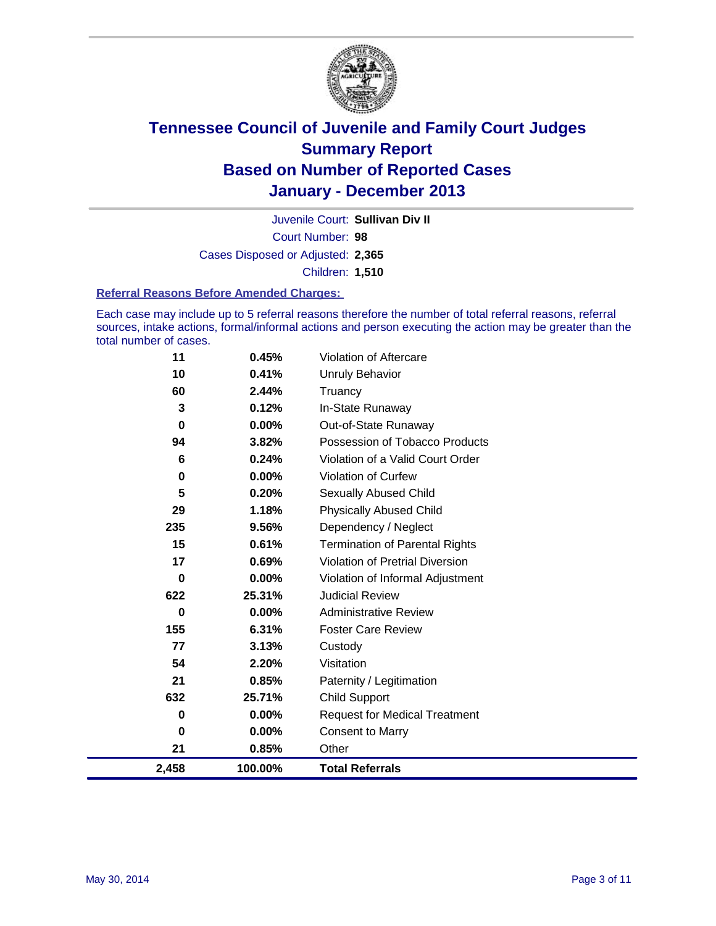

Court Number: **98** Juvenile Court: **Sullivan Div II** Cases Disposed or Adjusted: **2,365** Children: **1,510**

#### **Referral Reasons Before Amended Charges:**

Each case may include up to 5 referral reasons therefore the number of total referral reasons, referral sources, intake actions, formal/informal actions and person executing the action may be greater than the total number of cases.

| 11       | 0.45%    | <b>Violation of Aftercare</b>          |
|----------|----------|----------------------------------------|
| 10       | 0.41%    | <b>Unruly Behavior</b>                 |
| 60       | 2.44%    | Truancy                                |
| 3        | 0.12%    | In-State Runaway                       |
| 0        | $0.00\%$ | Out-of-State Runaway                   |
| 94       | 3.82%    | Possession of Tobacco Products         |
| 6        | 0.24%    | Violation of a Valid Court Order       |
| 0        | $0.00\%$ | <b>Violation of Curfew</b>             |
| 5        | 0.20%    | Sexually Abused Child                  |
| 29       | 1.18%    | <b>Physically Abused Child</b>         |
| 235      | 9.56%    | Dependency / Neglect                   |
| 15       | 0.61%    | <b>Termination of Parental Rights</b>  |
| 17       | 0.69%    | <b>Violation of Pretrial Diversion</b> |
| 0        | 0.00%    | Violation of Informal Adjustment       |
| 622      | 25.31%   | <b>Judicial Review</b>                 |
| $\bf{0}$ | $0.00\%$ | <b>Administrative Review</b>           |
| 155      | 6.31%    | <b>Foster Care Review</b>              |
| 77       | 3.13%    | Custody                                |
| 54       | 2.20%    | Visitation                             |
| 21       | 0.85%    | Paternity / Legitimation               |
| 632      | 25.71%   | <b>Child Support</b>                   |
| 0        | 0.00%    | <b>Request for Medical Treatment</b>   |
| 0        | 0.00%    | <b>Consent to Marry</b>                |
| 21       | 0.85%    | Other                                  |
| 2,458    | 100.00%  | <b>Total Referrals</b>                 |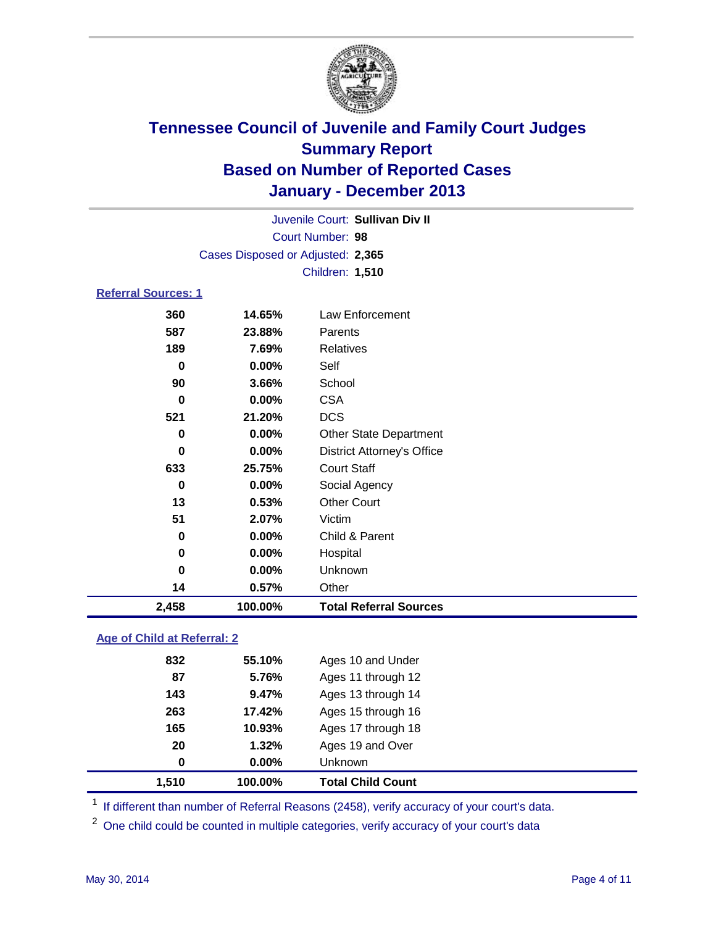

Court Number: **98** Juvenile Court: **Sullivan Div II** Cases Disposed or Adjusted: **2,365** Children: **1,510**

### **Referral Sources: 1**

| 13<br>51<br>0<br>0<br>0<br>14 | 0.53%<br>2.07%<br>0.00%<br>0.00%<br>$0.00\%$<br>0.57% | <b>Other Court</b><br>Victim<br>Child & Parent<br>Hospital<br>Unknown<br>Other |
|-------------------------------|-------------------------------------------------------|--------------------------------------------------------------------------------|
|                               |                                                       |                                                                                |
|                               |                                                       |                                                                                |
|                               |                                                       |                                                                                |
|                               |                                                       |                                                                                |
|                               |                                                       |                                                                                |
|                               |                                                       |                                                                                |
| 0                             | 0.00%                                                 | Social Agency                                                                  |
| 633                           | 25.75%                                                | <b>Court Staff</b>                                                             |
| 0                             | 0.00%                                                 | <b>District Attorney's Office</b>                                              |
| 0                             | 0.00%                                                 | <b>Other State Department</b>                                                  |
| 521                           | 21.20%                                                | <b>DCS</b>                                                                     |
| 0                             | 0.00%                                                 | <b>CSA</b>                                                                     |
| 90                            | 3.66%                                                 | School                                                                         |
| 0                             | $0.00\%$                                              | Self                                                                           |
| 189                           | 7.69%                                                 | Relatives                                                                      |
| 587                           | 23.88%                                                | Parents                                                                        |
| 360                           | 14.65%                                                | Law Enforcement                                                                |
|                               |                                                       |                                                                                |

### **Age of Child at Referral: 2**

| 1.510 | 100.00% | <b>Total Child Count</b> |
|-------|---------|--------------------------|
| 0     | 0.00%   | <b>Unknown</b>           |
| 20    | 1.32%   | Ages 19 and Over         |
| 165   | 10.93%  | Ages 17 through 18       |
| 263   | 17.42%  | Ages 15 through 16       |
| 143   | 9.47%   | Ages 13 through 14       |
| 87    | 5.76%   | Ages 11 through 12       |
| 832   | 55.10%  | Ages 10 and Under        |
|       |         |                          |

<sup>1</sup> If different than number of Referral Reasons (2458), verify accuracy of your court's data.

<sup>2</sup> One child could be counted in multiple categories, verify accuracy of your court's data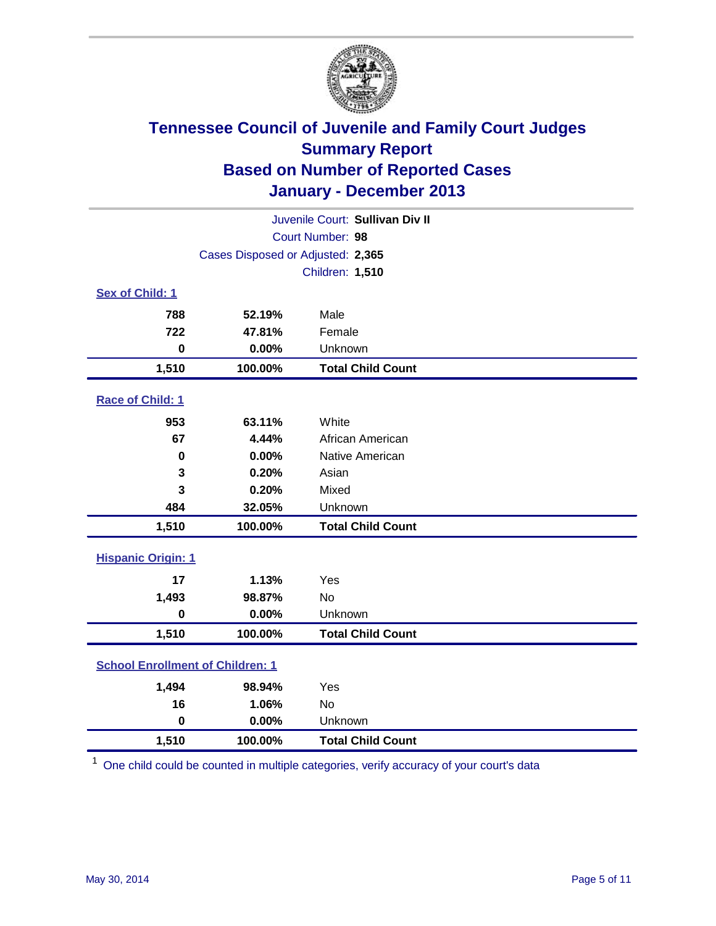

|                                         | Juvenile Court: Sullivan Div II   |                          |  |  |  |
|-----------------------------------------|-----------------------------------|--------------------------|--|--|--|
| Court Number: 98                        |                                   |                          |  |  |  |
|                                         | Cases Disposed or Adjusted: 2,365 |                          |  |  |  |
|                                         |                                   | Children: 1,510          |  |  |  |
| Sex of Child: 1                         |                                   |                          |  |  |  |
| 788                                     | 52.19%                            | Male                     |  |  |  |
| 722                                     | 47.81%                            | Female                   |  |  |  |
| $\mathbf 0$                             | 0.00%                             | Unknown                  |  |  |  |
| 1,510                                   | 100.00%                           | <b>Total Child Count</b> |  |  |  |
| <b>Race of Child: 1</b>                 |                                   |                          |  |  |  |
| 953                                     | 63.11%                            | White                    |  |  |  |
| 67                                      | 4.44%                             | African American         |  |  |  |
| 0                                       | 0.00%                             | Native American          |  |  |  |
| 3                                       | 0.20%                             | Asian                    |  |  |  |
| 3                                       | 0.20%                             | Mixed                    |  |  |  |
| 484                                     | 32.05%                            | Unknown                  |  |  |  |
| 1,510                                   | 100.00%                           | <b>Total Child Count</b> |  |  |  |
| <b>Hispanic Origin: 1</b>               |                                   |                          |  |  |  |
| 17                                      | 1.13%                             | Yes                      |  |  |  |
| 1,493                                   | 98.87%                            | <b>No</b>                |  |  |  |
| $\mathbf 0$                             | 0.00%                             | Unknown                  |  |  |  |
| 1,510                                   | 100.00%                           | <b>Total Child Count</b> |  |  |  |
| <b>School Enrollment of Children: 1</b> |                                   |                          |  |  |  |
| 1,494                                   | 98.94%                            | Yes                      |  |  |  |
| 16                                      | 1.06%                             | <b>No</b>                |  |  |  |
| $\mathbf 0$                             | 0.00%                             | Unknown                  |  |  |  |
| 1,510                                   | 100.00%                           | <b>Total Child Count</b> |  |  |  |

<sup>1</sup> One child could be counted in multiple categories, verify accuracy of your court's data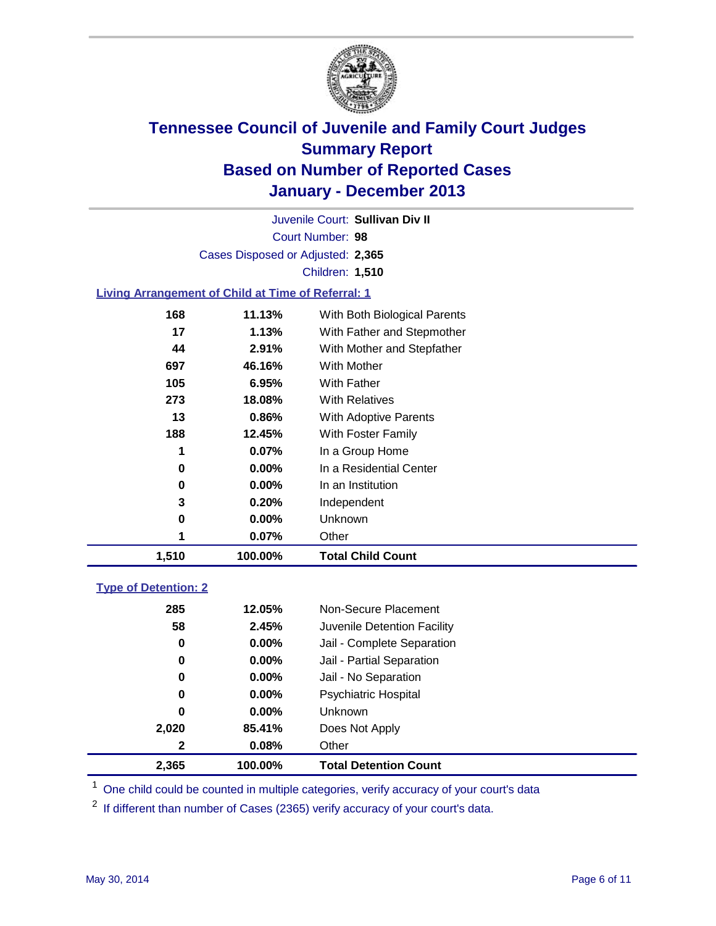

Court Number: **98** Juvenile Court: **Sullivan Div II** Cases Disposed or Adjusted: **2,365** Children: **1,510**

### **Living Arrangement of Child at Time of Referral: 1**

| 1,510 | 100.00%  | <b>Total Child Count</b>     |
|-------|----------|------------------------------|
|       | 0.07%    | Other                        |
| 0     | 0.00%    | <b>Unknown</b>               |
| 3     | 0.20%    | Independent                  |
| 0     | $0.00\%$ | In an Institution            |
| 0     | $0.00\%$ | In a Residential Center      |
| 1     | 0.07%    | In a Group Home              |
| 188   | 12.45%   | With Foster Family           |
| 13    | 0.86%    | With Adoptive Parents        |
| 273   | 18.08%   | <b>With Relatives</b>        |
| 105   | 6.95%    | With Father                  |
| 697   | 46.16%   | With Mother                  |
| 44    | 2.91%    | With Mother and Stepfather   |
| 17    | 1.13%    | With Father and Stepmother   |
| 168   | 11.13%   | With Both Biological Parents |
|       |          |                              |

### **Type of Detention: 2**

| 2,365 | 100.00%  | <b>Total Detention Count</b> |  |
|-------|----------|------------------------------|--|
| 2     | 0.08%    | Other                        |  |
| 2,020 | 85.41%   | Does Not Apply               |  |
| 0     | $0.00\%$ | <b>Unknown</b>               |  |
| 0     | $0.00\%$ | <b>Psychiatric Hospital</b>  |  |
| 0     | $0.00\%$ | Jail - No Separation         |  |
| 0     | $0.00\%$ | Jail - Partial Separation    |  |
| 0     | $0.00\%$ | Jail - Complete Separation   |  |
| 58    | 2.45%    | Juvenile Detention Facility  |  |
| 285   | 12.05%   | Non-Secure Placement         |  |
|       |          |                              |  |

<sup>1</sup> One child could be counted in multiple categories, verify accuracy of your court's data

<sup>2</sup> If different than number of Cases (2365) verify accuracy of your court's data.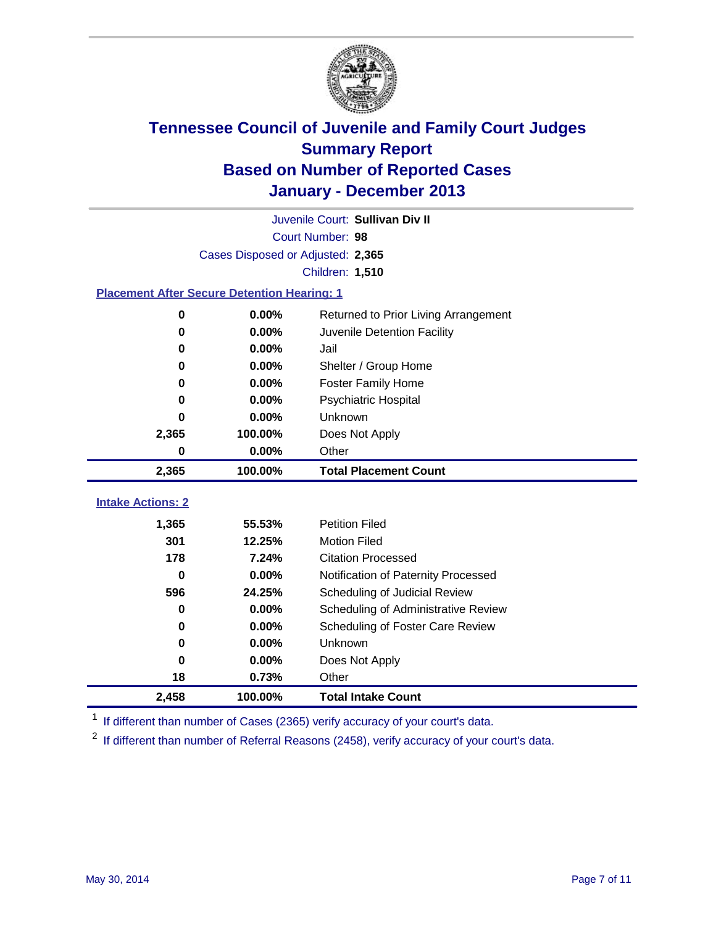

|                                                    |                                   | Juvenile Court: Sullivan Div II      |  |  |  |
|----------------------------------------------------|-----------------------------------|--------------------------------------|--|--|--|
| Court Number: 98                                   |                                   |                                      |  |  |  |
|                                                    | Cases Disposed or Adjusted: 2,365 |                                      |  |  |  |
|                                                    |                                   | Children: 1,510                      |  |  |  |
| <b>Placement After Secure Detention Hearing: 1</b> |                                   |                                      |  |  |  |
| 0                                                  | 0.00%                             | Returned to Prior Living Arrangement |  |  |  |
| 0                                                  | $0.00\%$                          | Juvenile Detention Facility          |  |  |  |
| 0                                                  | 0.00%                             | Jail                                 |  |  |  |
| 0                                                  | 0.00%                             | Shelter / Group Home                 |  |  |  |
| 0                                                  | 0.00%                             | <b>Foster Family Home</b>            |  |  |  |
| 0                                                  | 0.00%                             | <b>Psychiatric Hospital</b>          |  |  |  |
| 0                                                  | $0.00\%$                          | Unknown                              |  |  |  |
| 2,365                                              | 100.00%                           | Does Not Apply                       |  |  |  |
| 0                                                  | 0.00%                             | Other                                |  |  |  |
| 2,365                                              | 100.00%                           | <b>Total Placement Count</b>         |  |  |  |
| <b>Intake Actions: 2</b>                           |                                   |                                      |  |  |  |
|                                                    |                                   |                                      |  |  |  |
| 1,365                                              | 55.53%                            | <b>Petition Filed</b>                |  |  |  |
| 301                                                | 12.25%                            | <b>Motion Filed</b>                  |  |  |  |
| 178                                                | 7.24%                             | <b>Citation Processed</b>            |  |  |  |
| $\bf{0}$                                           | 0.00%                             | Notification of Paternity Processed  |  |  |  |
| 596                                                | 24.25%                            | Scheduling of Judicial Review        |  |  |  |
| 0                                                  | 0.00%                             | Scheduling of Administrative Review  |  |  |  |
| 0                                                  | 0.00%                             | Scheduling of Foster Care Review     |  |  |  |
| 0                                                  | 0.00%                             | Unknown                              |  |  |  |
| 0                                                  | 0.00%                             | Does Not Apply                       |  |  |  |
| 18                                                 | 0.73%                             | Other                                |  |  |  |
| 2,458                                              | 100.00%                           | <b>Total Intake Count</b>            |  |  |  |

<sup>1</sup> If different than number of Cases (2365) verify accuracy of your court's data.

 $2$  If different than number of Referral Reasons (2458), verify accuracy of your court's data.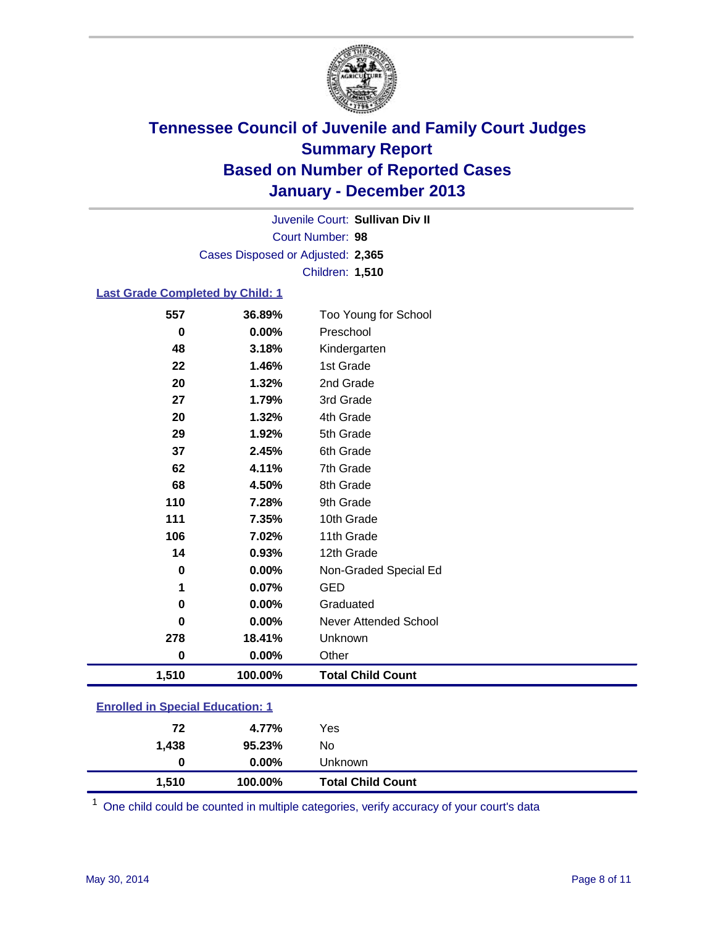

Court Number: **98** Juvenile Court: **Sullivan Div II** Cases Disposed or Adjusted: **2,365** Children: **1,510**

### **Last Grade Completed by Child: 1**

| 557   | 36.89%  | Too Young for School     |
|-------|---------|--------------------------|
| 0     | 0.00%   | Preschool                |
| 48    | 3.18%   | Kindergarten             |
| 22    | 1.46%   | 1st Grade                |
| 20    | 1.32%   | 2nd Grade                |
| 27    | 1.79%   | 3rd Grade                |
| 20    | 1.32%   | 4th Grade                |
| 29    | 1.92%   | 5th Grade                |
| 37    | 2.45%   | 6th Grade                |
| 62    | 4.11%   | 7th Grade                |
| 68    | 4.50%   | 8th Grade                |
| 110   | 7.28%   | 9th Grade                |
| 111   | 7.35%   | 10th Grade               |
| 106   | 7.02%   | 11th Grade               |
| 14    | 0.93%   | 12th Grade               |
| 0     | 0.00%   | Non-Graded Special Ed    |
| 1     | 0.07%   | <b>GED</b>               |
| 0     | 0.00%   | Graduated                |
| 0     | 0.00%   | Never Attended School    |
| 278   | 18.41%  | Unknown                  |
| 0     | 0.00%   | Other                    |
| 1,510 | 100.00% | <b>Total Child Count</b> |
|       |         |                          |

|  | <b>Enrolled in Special Education: 1</b> |
|--|-----------------------------------------|
|  |                                         |

| 1,510 | 100.00%  | <b>Total Child Count</b> |  |
|-------|----------|--------------------------|--|
| 0     | $0.00\%$ | <b>Unknown</b>           |  |
| 1.438 | 95.23%   | No                       |  |
| 72    | 4.77%    | Yes                      |  |
|       |          |                          |  |

One child could be counted in multiple categories, verify accuracy of your court's data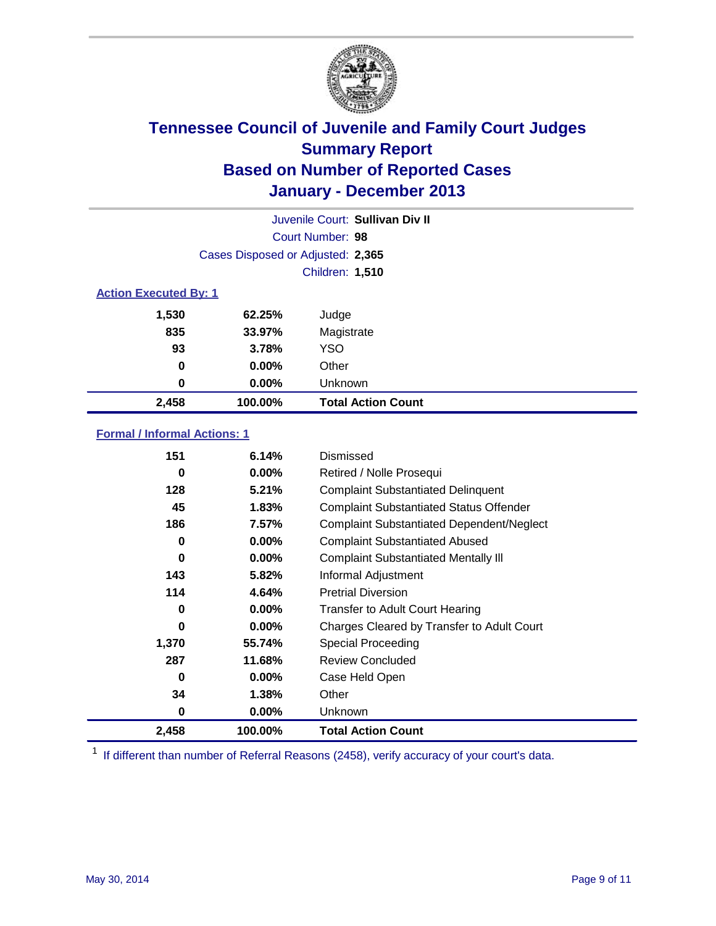

|                              |                                   | Juvenile Court: Sullivan Div II |  |
|------------------------------|-----------------------------------|---------------------------------|--|
|                              |                                   | Court Number: 98                |  |
|                              | Cases Disposed or Adjusted: 2,365 |                                 |  |
|                              |                                   | Children: 1,510                 |  |
| <b>Action Executed By: 1</b> |                                   |                                 |  |
| 1,530                        | 62.25%                            | Judge                           |  |
| 835                          | 33.97%                            | Magistrate                      |  |
| 93                           | 3.78%                             | <b>YSO</b>                      |  |
| 0                            | $0.00\%$                          | Other                           |  |
| 0                            | 0.00%                             | Unknown                         |  |
| 2,458                        | 100.00%                           | <b>Total Action Count</b>       |  |

### **Formal / Informal Actions: 1**

| 151      | 6.14%    | Dismissed                                        |
|----------|----------|--------------------------------------------------|
| 0        | $0.00\%$ | Retired / Nolle Prosequi                         |
| 128      | 5.21%    | <b>Complaint Substantiated Delinquent</b>        |
| 45       | 1.83%    | <b>Complaint Substantiated Status Offender</b>   |
| 186      | 7.57%    | <b>Complaint Substantiated Dependent/Neglect</b> |
| 0        | $0.00\%$ | <b>Complaint Substantiated Abused</b>            |
| $\bf{0}$ | 0.00%    | <b>Complaint Substantiated Mentally III</b>      |
| 143      | 5.82%    | Informal Adjustment                              |
| 114      | 4.64%    | <b>Pretrial Diversion</b>                        |
| 0        | $0.00\%$ | <b>Transfer to Adult Court Hearing</b>           |
| 0        | $0.00\%$ | Charges Cleared by Transfer to Adult Court       |
| 1,370    | 55.74%   | Special Proceeding                               |
| 287      | 11.68%   | <b>Review Concluded</b>                          |
| 0        | $0.00\%$ | Case Held Open                                   |
| 34       | 1.38%    | Other                                            |
| 0        | $0.00\%$ | <b>Unknown</b>                                   |
| 2,458    | 100.00%  | <b>Total Action Count</b>                        |

<sup>1</sup> If different than number of Referral Reasons (2458), verify accuracy of your court's data.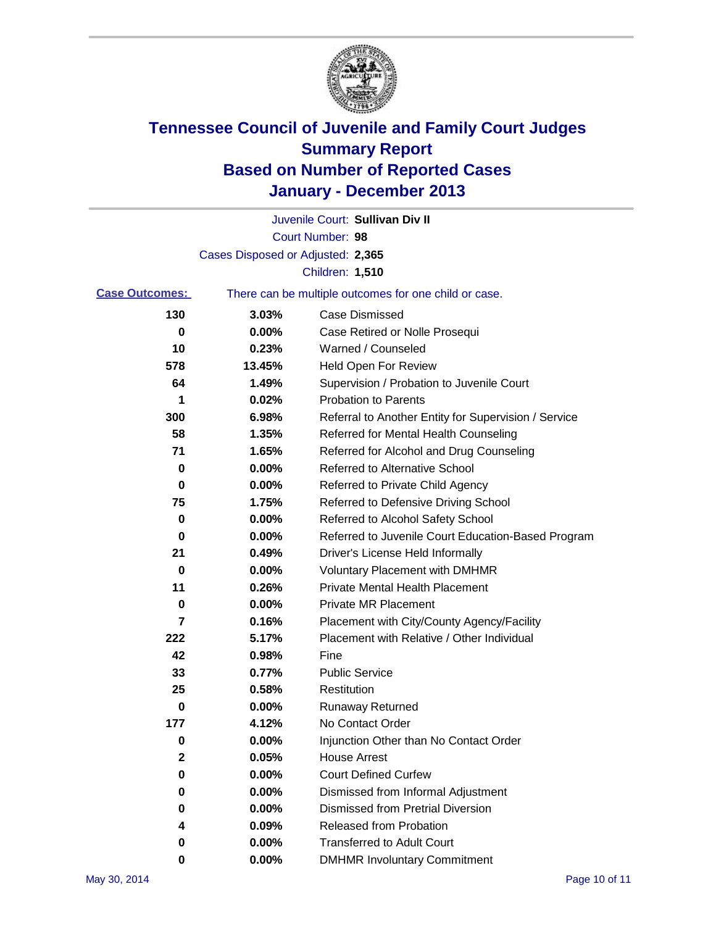

|                                                                                |                                   | Juvenile Court: Sullivan Div II                      |
|--------------------------------------------------------------------------------|-----------------------------------|------------------------------------------------------|
|                                                                                |                                   | Court Number: 98                                     |
|                                                                                | Cases Disposed or Adjusted: 2,365 |                                                      |
|                                                                                |                                   | Children: 1,510                                      |
| <b>Case Outcomes:</b><br>There can be multiple outcomes for one child or case. |                                   |                                                      |
| 130                                                                            | 3.03%                             | Case Dismissed                                       |
| 0                                                                              | 0.00%                             | Case Retired or Nolle Prosequi                       |
| 10                                                                             | 0.23%                             | Warned / Counseled                                   |
| 578                                                                            | 13.45%                            | Held Open For Review                                 |
| 64                                                                             | 1.49%                             | Supervision / Probation to Juvenile Court            |
| 1                                                                              | 0.02%                             | <b>Probation to Parents</b>                          |
| 300                                                                            | 6.98%                             | Referral to Another Entity for Supervision / Service |
| 58                                                                             | 1.35%                             | Referred for Mental Health Counseling                |
| 71                                                                             | 1.65%                             | Referred for Alcohol and Drug Counseling             |
| 0                                                                              | 0.00%                             | Referred to Alternative School                       |
| 0                                                                              | 0.00%                             | Referred to Private Child Agency                     |
| 75                                                                             | 1.75%                             | Referred to Defensive Driving School                 |
| 0                                                                              | 0.00%                             | Referred to Alcohol Safety School                    |
| 0                                                                              | 0.00%                             | Referred to Juvenile Court Education-Based Program   |
| 21                                                                             | 0.49%                             | Driver's License Held Informally                     |
| 0                                                                              | 0.00%                             | <b>Voluntary Placement with DMHMR</b>                |
| 11                                                                             | 0.26%                             | <b>Private Mental Health Placement</b>               |
| 0                                                                              | 0.00%                             | <b>Private MR Placement</b>                          |
| 7                                                                              | 0.16%                             | Placement with City/County Agency/Facility           |
| 222                                                                            | 5.17%                             | Placement with Relative / Other Individual           |
| 42                                                                             | 0.98%                             | Fine                                                 |
| 33                                                                             | 0.77%                             | <b>Public Service</b>                                |
| 25                                                                             | 0.58%                             | Restitution                                          |
| 0                                                                              | 0.00%                             | <b>Runaway Returned</b>                              |
| 177                                                                            | 4.12%                             | No Contact Order                                     |
| 0                                                                              | 0.00%                             | Injunction Other than No Contact Order               |
| 2                                                                              | 0.05%                             | <b>House Arrest</b>                                  |
| 0                                                                              | 0.00%                             | <b>Court Defined Curfew</b>                          |
| 0                                                                              | 0.00%                             | Dismissed from Informal Adjustment                   |
| 0                                                                              | 0.00%                             | <b>Dismissed from Pretrial Diversion</b>             |
| 4                                                                              | 0.09%                             | Released from Probation                              |
| 0                                                                              | 0.00%                             | <b>Transferred to Adult Court</b>                    |
| 0                                                                              | $0.00\%$                          | <b>DMHMR Involuntary Commitment</b>                  |